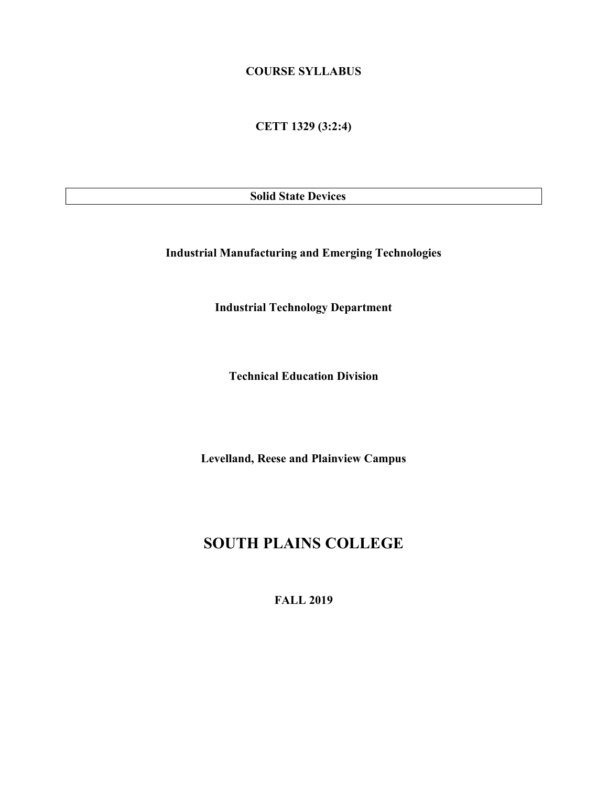### COURSE SYLLABUS

CETT 1329 (3:2:4)

Solid State Devices

Industrial Manufacturing and Emerging Technologies

Industrial Technology Department

Technical Education Division

Levelland, Reese and Plainview Campus

## SOUTH PLAINS COLLEGE

FALL 2019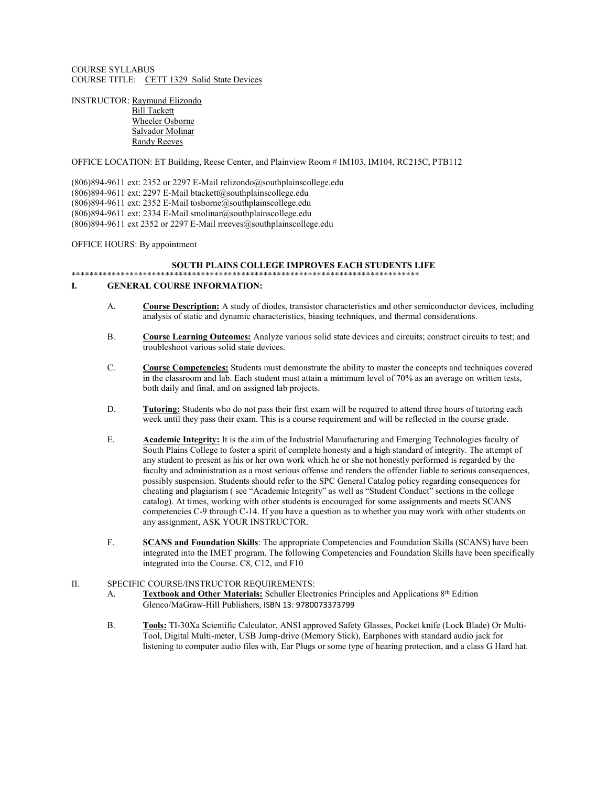COURSE SYLLABUS COURSE TITLE: CETT 1329 Solid State Devices

INSTRUCTOR: Raymund Elizondo Bill Tackett Wheeler Osborne Salvador Molinar Randy Reeves

OFFICE LOCATION: ET Building, Reese Center, and Plainview Room # IM103, IM104, RC215C, PTB112

(806)894-9611 ext: 2352 or 2297 E-Mail relizondo@southplainscollege.edu (806)894-9611 ext: 2297 E-Mail btackett@southplainscollege.edu (806)894-9611 ext: 2352 E-Mail tosborne@southplainscollege.edu (806)894-9611 ext: 2334 E-Mail smolinar@southplainscollege.edu  $(806)894-9611$  ext 2352 or 2297 E-Mail rreeves@southplainscollege.edu

OFFICE HOURS: By appointment

#### SOUTH PLAINS COLLEGE IMPROVES EACH STUDENTS LIFE \*\*\*\*\*\*\*\*\*\*\*\*\*\*\*\*\*\*\*\*\*\*\*\*\*\*\*\*\*\*\*\*\*\*\*\*\*\*\*\*\*\*\*\*\*\*\*\*\*\*\*\*\*\*\*\*\*\*\*\*\*\*\*\*\*\*\*\*\*\*\*\*\*\*\*\*\*\*

### I. GENERAL COURSE INFORMATION:

- A. Course Description: A study of diodes, transistor characteristics and other semiconductor devices, including analysis of static and dynamic characteristics, biasing techniques, and thermal considerations.
- B. Course Learning Outcomes: Analyze various solid state devices and circuits; construct circuits to test; and troubleshoot various solid state devices.
- C. Course Competencies: Students must demonstrate the ability to master the concepts and techniques covered in the classroom and lab. Each student must attain a minimum level of 70% as an average on written tests, both daily and final, and on assigned lab projects.
- D. Tutoring: Students who do not pass their first exam will be required to attend three hours of tutoring each week until they pass their exam. This is a course requirement and will be reflected in the course grade.
- E. Academic Integrity: It is the aim of the Industrial Manufacturing and Emerging Technologies faculty of South Plains College to foster a spirit of complete honesty and a high standard of integrity. The attempt of any student to present as his or her own work which he or she not honestly performed is regarded by the faculty and administration as a most serious offense and renders the offender liable to serious consequences, possibly suspension. Students should refer to the SPC General Catalog policy regarding consequences for cheating and plagiarism ( see "Academic Integrity" as well as "Student Conduct" sections in the college catalog). At times, working with other students is encouraged for some assignments and meets SCANS competencies C-9 through C-14. If you have a question as to whether you may work with other students on any assignment, ASK YOUR INSTRUCTOR.
- F. SCANS and Foundation Skills: The appropriate Competencies and Foundation Skills (SCANS) have been integrated into the IMET program. The following Competencies and Foundation Skills have been specifically integrated into the Course. C8, C12, and F10

#### II. SPECIFIC COURSE/INSTRUCTOR REQUIREMENTS:

- A. Textbook and Other Materials: Schuller Electronics Principles and Applications 8<sup>th</sup> Edition Glenco/MaGraw-Hill Publishers, ISBN 13: 9780073373799
- B. Tools: TI-30Xa Scientific Calculator, ANSI approved Safety Glasses, Pocket knife (Lock Blade) Or Multi-Tool, Digital Multi-meter, USB Jump-drive (Memory Stick), Earphones with standard audio jack for listening to computer audio files with, Ear Plugs or some type of hearing protection, and a class G Hard hat.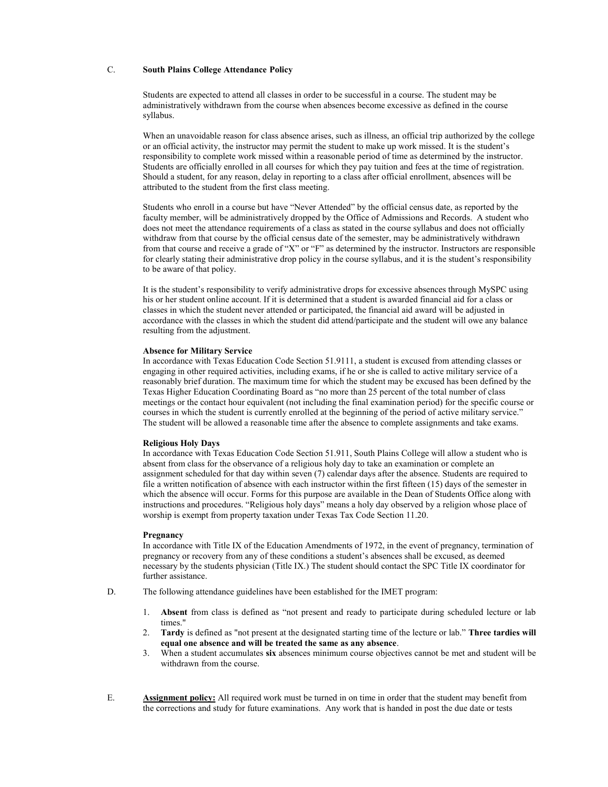### C. South Plains College Attendance Policy

Students are expected to attend all classes in order to be successful in a course. The student may be administratively withdrawn from the course when absences become excessive as defined in the course syllabus.

When an unavoidable reason for class absence arises, such as illness, an official trip authorized by the college or an official activity, the instructor may permit the student to make up work missed. It is the student's responsibility to complete work missed within a reasonable period of time as determined by the instructor. Students are officially enrolled in all courses for which they pay tuition and fees at the time of registration. Should a student, for any reason, delay in reporting to a class after official enrollment, absences will be attributed to the student from the first class meeting.

Students who enroll in a course but have "Never Attended" by the official census date, as reported by the faculty member, will be administratively dropped by the Office of Admissions and Records. A student who does not meet the attendance requirements of a class as stated in the course syllabus and does not officially withdraw from that course by the official census date of the semester, may be administratively withdrawn from that course and receive a grade of "X" or "F" as determined by the instructor. Instructors are responsible for clearly stating their administrative drop policy in the course syllabus, and it is the student's responsibility to be aware of that policy.

It is the student's responsibility to verify administrative drops for excessive absences through MySPC using his or her student online account. If it is determined that a student is awarded financial aid for a class or classes in which the student never attended or participated, the financial aid award will be adjusted in accordance with the classes in which the student did attend/participate and the student will owe any balance resulting from the adjustment.

#### Absence for Military Service

In accordance with Texas Education Code Section 51.9111, a student is excused from attending classes or engaging in other required activities, including exams, if he or she is called to active military service of a reasonably brief duration. The maximum time for which the student may be excused has been defined by the Texas Higher Education Coordinating Board as "no more than 25 percent of the total number of class meetings or the contact hour equivalent (not including the final examination period) for the specific course or courses in which the student is currently enrolled at the beginning of the period of active military service." The student will be allowed a reasonable time after the absence to complete assignments and take exams.

#### Religious Holy Days

In accordance with Texas Education Code Section 51.911, South Plains College will allow a student who is absent from class for the observance of a religious holy day to take an examination or complete an assignment scheduled for that day within seven (7) calendar days after the absence. Students are required to file a written notification of absence with each instructor within the first fifteen (15) days of the semester in which the absence will occur. Forms for this purpose are available in the Dean of Students Office along with instructions and procedures. "Religious holy days" means a holy day observed by a religion whose place of worship is exempt from property taxation under Texas Tax Code Section 11.20.

#### **Pregnancy**

In accordance with Title IX of the Education Amendments of 1972, in the event of pregnancy, termination of pregnancy or recovery from any of these conditions a student's absences shall be excused, as deemed necessary by the students physician (Title IX.) The student should contact the SPC Title IX coordinator for further assistance.

- D. The following attendance guidelines have been established for the IMET program:
	- 1. Absent from class is defined as "not present and ready to participate during scheduled lecture or lab times."
	- 2. Tardy is defined as "not present at the designated starting time of the lecture or lab." Three tardies will equal one absence and will be treated the same as any absence.
	- 3. When a student accumulates six absences minimum course objectives cannot be met and student will be withdrawn from the course.
- E. Assignment policy: All required work must be turned in on time in order that the student may benefit from the corrections and study for future examinations. Any work that is handed in post the due date or tests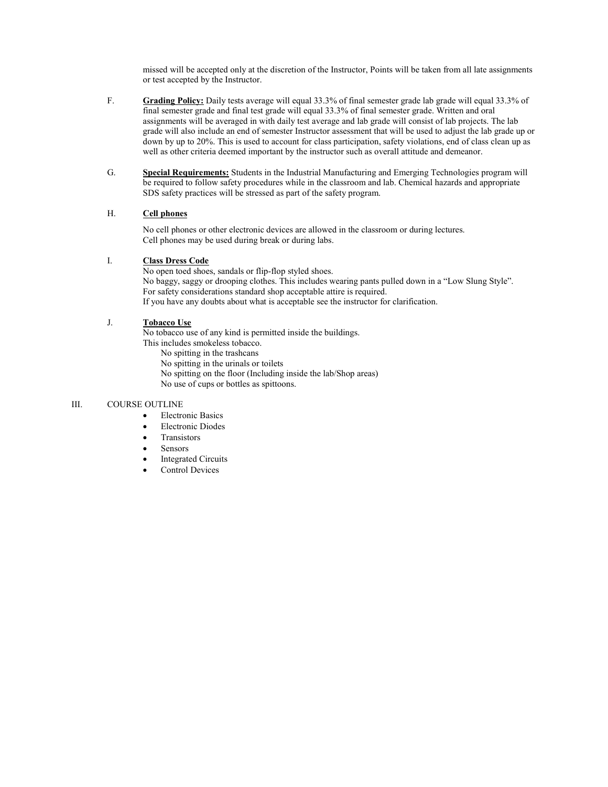missed will be accepted only at the discretion of the Instructor, Points will be taken from all late assignments or test accepted by the Instructor.

- F. Grading Policy: Daily tests average will equal 33.3% of final semester grade lab grade will equal 33.3% of final semester grade and final test grade will equal 33.3% of final semester grade. Written and oral assignments will be averaged in with daily test average and lab grade will consist of lab projects. The lab grade will also include an end of semester Instructor assessment that will be used to adjust the lab grade up or down by up to 20%. This is used to account for class participation, safety violations, end of class clean up as well as other criteria deemed important by the instructor such as overall attitude and demeanor.
- G. Special Requirements: Students in the Industrial Manufacturing and Emerging Technologies program will be required to follow safety procedures while in the classroom and lab. Chemical hazards and appropriate SDS safety practices will be stressed as part of the safety program.

### H. Cell phones

No cell phones or other electronic devices are allowed in the classroom or during lectures. Cell phones may be used during break or during labs.

### I. Class Dress Code

No open toed shoes, sandals or flip-flop styled shoes. No baggy, saggy or drooping clothes. This includes wearing pants pulled down in a "Low Slung Style". For safety considerations standard shop acceptable attire is required. If you have any doubts about what is acceptable see the instructor for clarification.

### J. Tobacco Use

No tobacco use of any kind is permitted inside the buildings. This includes smokeless tobacco. No spitting in the trashcans

No spitting in the urinals or toilets No spitting on the floor (Including inside the lab/Shop areas) No use of cups or bottles as spittoons.

### III. COURSE OUTLINE

- Electronic Basics
- Electronic Diodes
- Transistors
- Sensors
- Integrated Circuits
- Control Devices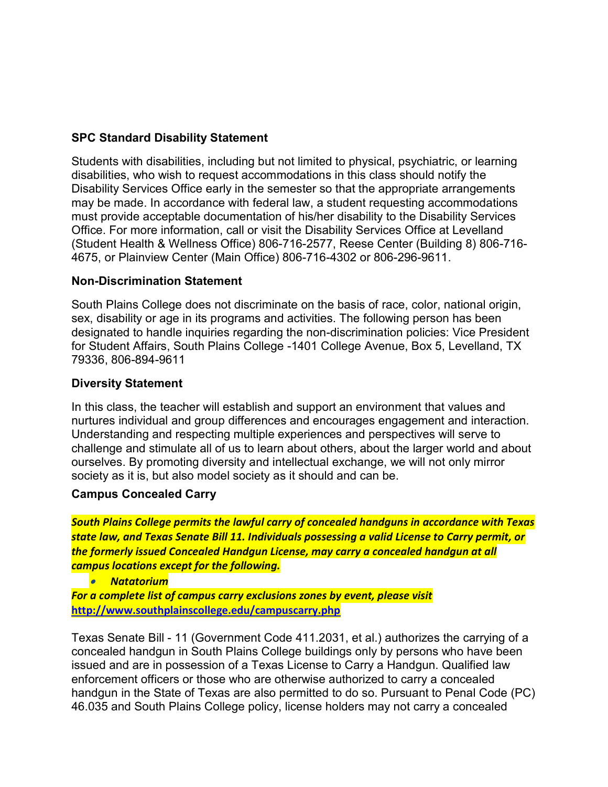## SPC Standard Disability Statement

Students with disabilities, including but not limited to physical, psychiatric, or learning disabilities, who wish to request accommodations in this class should notify the Disability Services Office early in the semester so that the appropriate arrangements may be made. In accordance with federal law, a student requesting accommodations must provide acceptable documentation of his/her disability to the Disability Services Office. For more information, call or visit the Disability Services Office at Levelland (Student Health & Wellness Office) 806-716-2577, Reese Center (Building 8) 806-716- 4675, or Plainview Center (Main Office) 806-716-4302 or 806-296-9611.

### Non-Discrimination Statement

South Plains College does not discriminate on the basis of race, color, national origin, sex, disability or age in its programs and activities. The following person has been designated to handle inquiries regarding the non-discrimination policies: Vice President for Student Affairs, South Plains College -1401 College Avenue, Box 5, Levelland, TX 79336, 806-894-9611

### Diversity Statement

In this class, the teacher will establish and support an environment that values and nurtures individual and group differences and encourages engagement and interaction. Understanding and respecting multiple experiences and perspectives will serve to challenge and stimulate all of us to learn about others, about the larger world and about ourselves. By promoting diversity and intellectual exchange, we will not only mirror society as it is, but also model society as it should and can be.

### Campus Concealed Carry

South Plains College permits the lawful carry of concealed handguns in accordance with Texas state law, and Texas Senate Bill 11. Individuals possessing a valid License to Carry permit, or the formerly issued Concealed Handgun License, may carry a concealed handgun at all campus locations except for the following.

Natatorium

For a complete list of campus carry exclusions zones by event, please visit http://www.southplainscollege.edu/campuscarry.php

Texas Senate Bill - 11 (Government Code 411.2031, et al.) authorizes the carrying of a concealed handgun in South Plains College buildings only by persons who have been issued and are in possession of a Texas License to Carry a Handgun. Qualified law enforcement officers or those who are otherwise authorized to carry a concealed handgun in the State of Texas are also permitted to do so. Pursuant to Penal Code (PC) 46.035 and South Plains College policy, license holders may not carry a concealed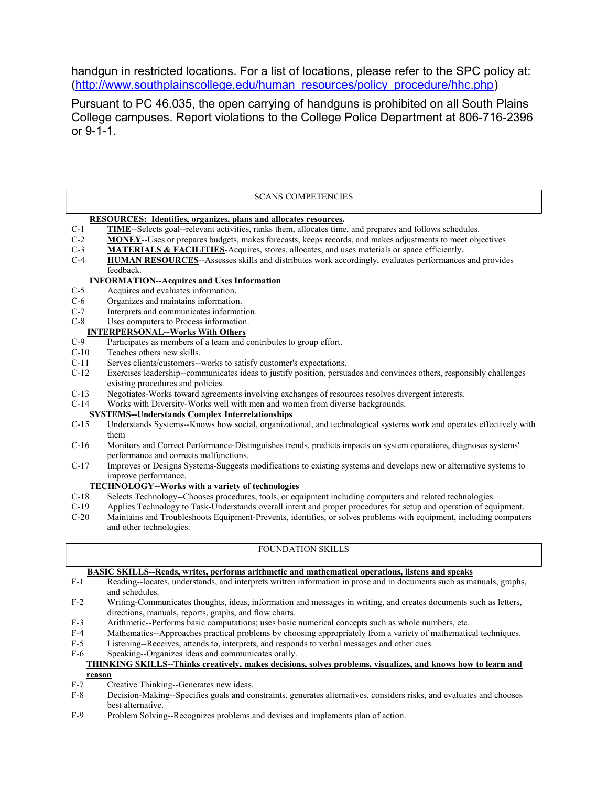handgun in restricted locations. For a list of locations, please refer to the SPC policy at: (http://www.southplainscollege.edu/human\_resources/policy\_procedure/hhc.php)

Pursuant to PC 46.035, the open carrying of handguns is prohibited on all South Plains College campuses. Report violations to the College Police Department at 806-716-2396 or 9-1-1.

### SCANS COMPETENCIES

### RESOURCES: Identifies, organizes, plans and allocates resources.

- C-1 TIME--Selects goal--relevant activities, ranks them, allocates time, and prepares and follows schedules.
- C-2 MONEY--Uses or prepares budgets, makes forecasts, keeps records, and makes adjustments to meet objectives
- C-3 MATERIALS & FACILITIES-Acquires, stores, allocates, and uses materials or space efficiently.
- C-4 HUMAN RESOURCES--Assesses skills and distributes work accordingly, evaluates performances and provides feedback.

# **INFORMATION--Acquires and Uses Information**<br>C-5 Acquires and evaluates information.

- Acquires and evaluates information.
- C-6 Organizes and maintains information.
- C-7 Interprets and communicates information.
- C-8 Uses computers to Process information.

## **INTERPERSONAL--Works With Others**<br>C-9 Participates as members of a team and of

- Participates as members of a team and contributes to group effort.
- C-10 Teaches others new skills.
- C-11 Serves clients/customers--works to satisfy customer's expectations.
- C-12 Exercises leadership--communicates ideas to justify position, persuades and convinces others, responsibly challenges existing procedures and policies.
- C-13 Negotiates-Works toward agreements involving exchanges of resources resolves divergent interests.
- C-14 Works with Diversity-Works well with men and women from diverse backgrounds.

### SYSTEMS--Understands Complex Interrelationships

- C-15 Understands Systems--Knows how social, organizational, and technological systems work and operates effectively with them
- C-16 Monitors and Correct Performance-Distinguishes trends, predicts impacts on system operations, diagnoses systems' performance and corrects malfunctions.
- C-17 Improves or Designs Systems-Suggests modifications to existing systems and develops new or alternative systems to improve performance.

## **TECHNOLOGY--Works with a variety of technologies**<br>C-18 Selects Technology--Chooses procedures, tools, or equ

- Selects Technology--Chooses procedures, tools, or equipment including computers and related technologies.
- C-19 Applies Technology to Task-Understands overall intent and proper procedures for setup and operation of equipment.
- C-20 Maintains and Troubleshoots Equipment-Prevents, identifies, or solves problems with equipment, including computers and other technologies.

### FOUNDATION SKILLS

### BASIC SKILLS--Reads, writes, performs arithmetic and mathematical operations, listens and speaks

- F-1 Reading--locates, understands, and interprets written information in prose and in documents such as manuals, graphs, and schedules.
- F-2 Writing-Communicates thoughts, ideas, information and messages in writing, and creates documents such as letters, directions, manuals, reports, graphs, and flow charts.
- F-3 Arithmetic--Performs basic computations; uses basic numerical concepts such as whole numbers, etc.<br>F-4 Mathematics--Approaches practical problems by choosing appropriately from a variety of mathematic
- Mathematics--Approaches practical problems by choosing appropriately from a variety of mathematical techniques.
- F-5 Listening--Receives, attends to, interprets, and responds to verbal messages and other cues.
- F-6 Speaking--Organizes ideas and communicates orally.

### THINKING SKILLS--Thinks creatively, makes decisions, solves problems, visualizes, and knows how to learn and reason

- F-7 Creative Thinking--Generates new ideas.
- F-8 Decision-Making--Specifies goals and constraints, generates alternatives, considers risks, and evaluates and chooses best alternative.
- F-9 Problem Solving--Recognizes problems and devises and implements plan of action.